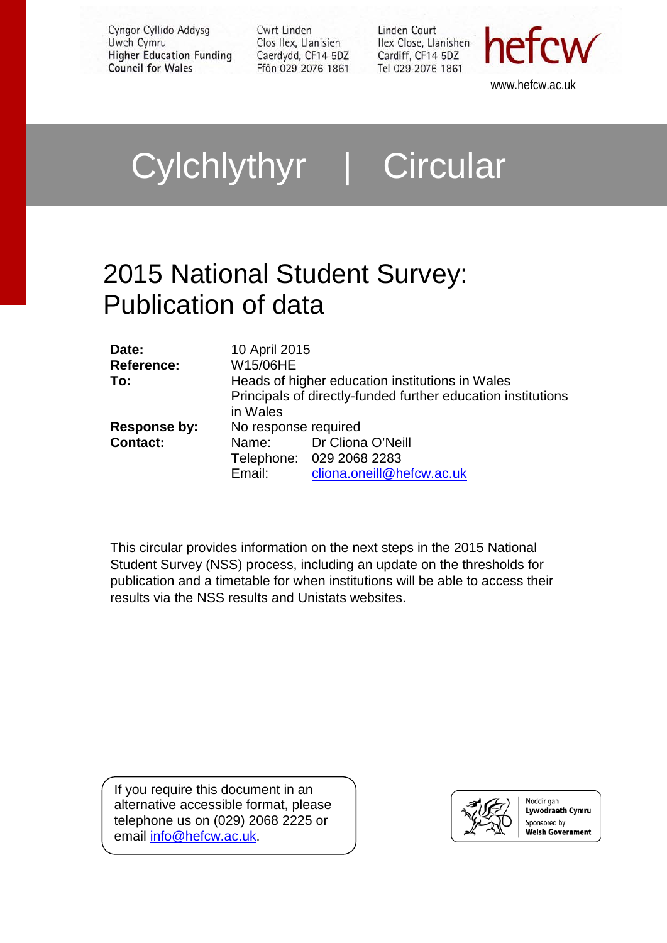Cyngor Cyllido Addysg Uwch Cymru **Higher Education Funding Council for Wales** 

Cwrt Linden Clos Ilex, Llanisien Caerdydd, CF14 5DZ Ffôn 029 2076 1861

Linden Court Ilex Close, Llanishen Cardiff, CF14 5DZ Tel 029 2076 1861

hefcw

www.hefcw.ac.uk

# Cylchlythyr | Circular

# 2015 National Student Survey: Publication of data

| Date:<br><b>Reference:</b> | 10 April 2015<br>W15/06HE |                                                              |
|----------------------------|---------------------------|--------------------------------------------------------------|
| To:                        |                           | Heads of higher education institutions in Wales              |
|                            | in Wales                  | Principals of directly-funded further education institutions |
| Response by:               | No response required      |                                                              |
| <b>Contact:</b>            |                           | Name: Dr Cliona O'Neill                                      |
|                            | Email:                    | Telephone: 029 2068 2283<br>cliona.oneill@hefcw.ac.uk        |

This circular provides information on the next steps in the 2015 National Student Survey (NSS) process, including an update on the thresholds for publication and a timetable for when institutions will be able to access their results via the NSS results and Unistats websites.

<span id="page-0-0"></span>If you require this document in an alternative accessible format, please telephone us on (029) 2068 2225 or email [info@hefcw.ac.uk.](mailto:info@hefcw.ac.uk)



Noddir gan Lywodraeth Cymru Sponsored by .<br>Welsh Government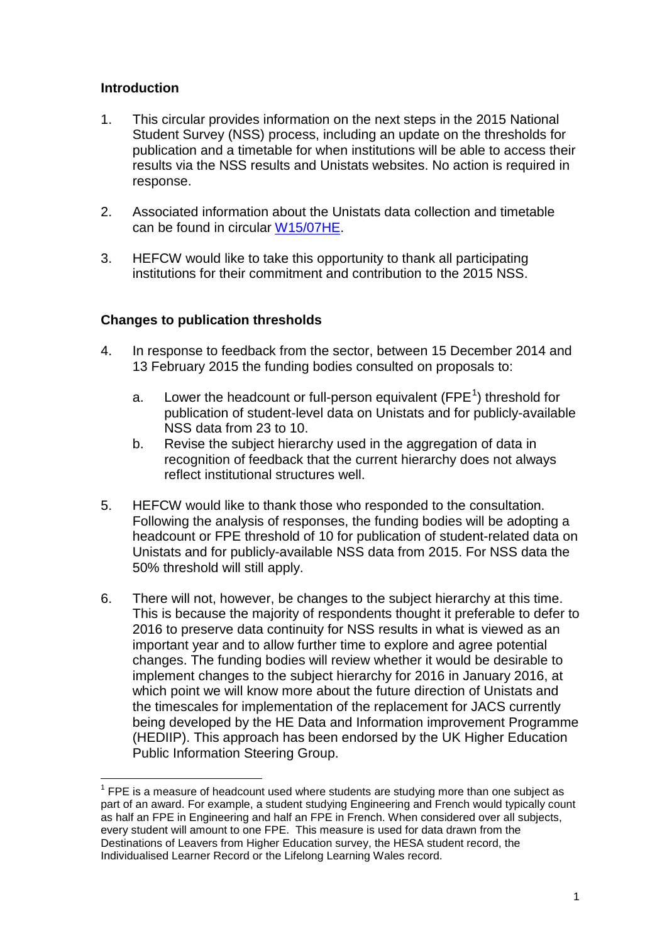# **Introduction**

- 1. This circular provides information on the next steps in the 2015 National Student Survey (NSS) process, including an update on the thresholds for publication and a timetable for when institutions will be able to access their results via the NSS results and Unistats websites. No action is required in response.
- 2. Associated information about the Unistats data collection and timetable can be found in circular [W15/07HE.](http://www.hefcw.ac.uk/documents/publications/circulars/circulars_2015/W15%2007HE%20Unistats%20and%20the%20Key%20Information%20Set%20Data%20collection%20timetable.pdf)
- 3. HEFCW would like to take this opportunity to thank all participating institutions for their commitment and contribution to the 2015 NSS.

# **Changes to publication thresholds**

- 4. In response to feedback from the sector, between 15 December 2014 and 13 February 2015 the funding bodies consulted on proposals to:
	- a. Lower the headcount or full-person equivalent (FPE<sup>[1](#page-0-0)</sup>) threshold for publication of student-level data on Unistats and for publicly-available NSS data from 23 to 10.
	- b. Revise the subject hierarchy used in the aggregation of data in recognition of feedback that the current hierarchy does not always reflect institutional structures well.
- 5. HEFCW would like to thank those who responded to the consultation. Following the analysis of responses, the funding bodies will be adopting a headcount or FPE threshold of 10 for publication of student-related data on Unistats and for publicly-available NSS data from 2015. For NSS data the 50% threshold will still apply.
- 6. There will not, however, be changes to the subject hierarchy at this time. This is because the majority of respondents thought it preferable to defer to 2016 to preserve data continuity for NSS results in what is viewed as an important year and to allow further time to explore and agree potential changes. The funding bodies will review whether it would be desirable to implement changes to the subject hierarchy for 2016 in January 2016, at which point we will know more about the future direction of Unistats and the timescales for implementation of the replacement for JACS currently being developed by the HE Data and Information improvement Programme (HEDIIP). This approach has been endorsed by the UK Higher Education Public Information Steering Group.

 $1$  FPE is a measure of headcount used where students are studying more than one subject as part of an award. For example, a student studying Engineering and French would typically count as half an FPE in Engineering and half an FPE in French. When considered over all subjects, every student will amount to one FPE. This measure is used for data drawn from the Destinations of Leavers from Higher Education survey, the HESA student record, the Individualised Learner Record or the Lifelong Learning Wales record.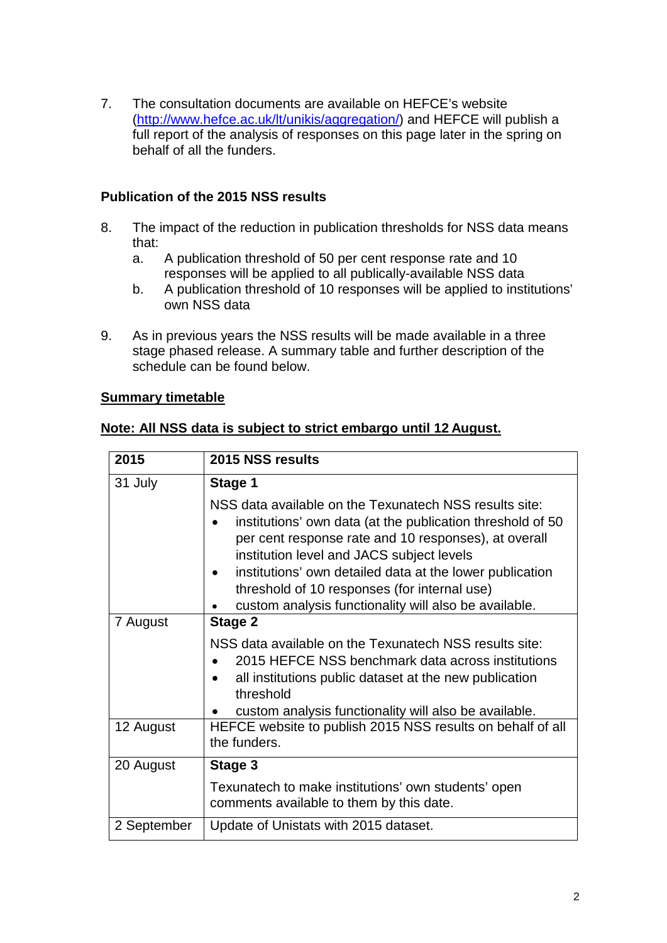7. The consultation documents are available on HEFCE's website [\(http://www.hefce.ac.uk/lt/unikis/aggregation/\)](http://www.hefce.ac.uk/lt/unikis/aggregation/) and HEFCE will publish a full report of the analysis of responses on this page later in the spring on behalf of all the funders.

# **Publication of the 2015 NSS results**

- 8. The impact of the reduction in publication thresholds for NSS data means that:
	- a. A publication threshold of 50 per cent response rate and 10 responses will be applied to all publically-available NSS data
	- b. A publication threshold of 10 responses will be applied to institutions' own NSS data
- 9. As in previous years the NSS results will be made available in a three stage phased release. A summary table and further description of the schedule can be found below.

# **Summary timetable**

| Note: All NSS data is subject to strict embargo until 12 August. |  |
|------------------------------------------------------------------|--|
|                                                                  |  |

| 2015        | 2015 NSS results                                                                                                                                                                                                                                                                                                                                                                               |
|-------------|------------------------------------------------------------------------------------------------------------------------------------------------------------------------------------------------------------------------------------------------------------------------------------------------------------------------------------------------------------------------------------------------|
| 31 July     | Stage 1                                                                                                                                                                                                                                                                                                                                                                                        |
|             | NSS data available on the Texunatech NSS results site:<br>institutions' own data (at the publication threshold of 50<br>per cent response rate and 10 responses), at overall<br>institution level and JACS subject levels<br>institutions' own detailed data at the lower publication<br>threshold of 10 responses (for internal use)<br>custom analysis functionality will also be available. |
| 7 August    | <b>Stage 2</b>                                                                                                                                                                                                                                                                                                                                                                                 |
|             | NSS data available on the Texunatech NSS results site:<br>2015 HEFCE NSS benchmark data across institutions<br>all institutions public dataset at the new publication<br>threshold<br>custom analysis functionality will also be available.                                                                                                                                                    |
| 12 August   | HEFCE website to publish 2015 NSS results on behalf of all<br>the funders.                                                                                                                                                                                                                                                                                                                     |
| 20 August   | Stage 3                                                                                                                                                                                                                                                                                                                                                                                        |
|             | Texunatech to make institutions' own students' open<br>comments available to them by this date.                                                                                                                                                                                                                                                                                                |
| 2 September | Update of Unistats with 2015 dataset.                                                                                                                                                                                                                                                                                                                                                          |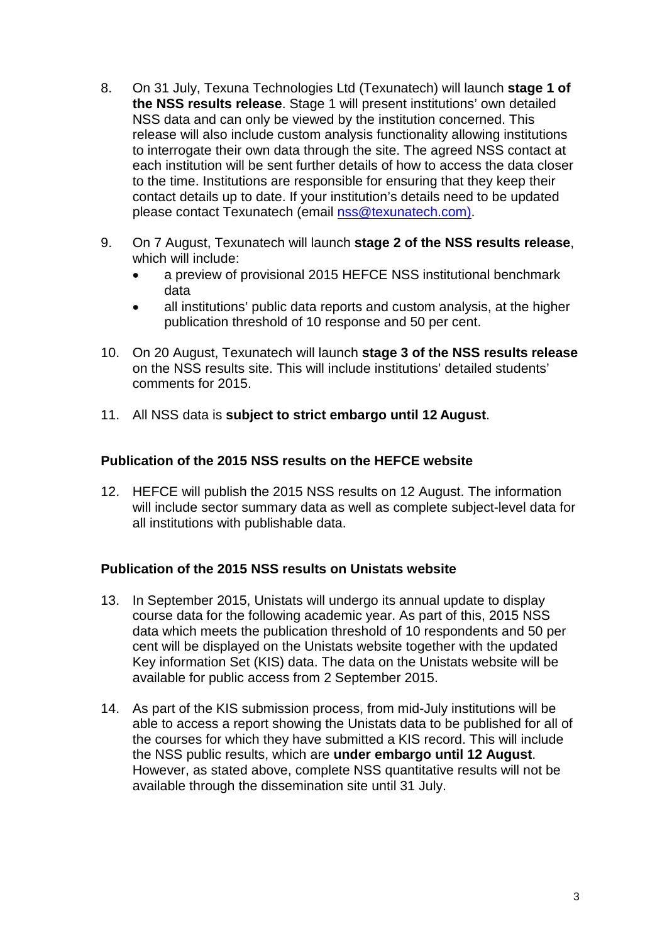- 8. On 31 July, Texuna Technologies Ltd (Texunatech) will launch **stage 1 of the NSS results release**. Stage 1 will present institutions' own detailed NSS data and can only be viewed by the institution concerned. This release will also include custom analysis functionality allowing institutions to interrogate their own data through the site. The agreed NSS contact at each institution will be sent further details of how to access the data closer to the time. Institutions are responsible for ensuring that they keep their contact details up to date. If your institution's details need to be updated please contact Texunatech (email [nss@texunatech.com\)](mailto:nss@texunatech.com).
- 9. On 7 August, Texunatech will launch **stage 2 of the NSS results release**, which will include:
	- a preview of provisional 2015 HEFCE NSS institutional benchmark data
	- all institutions' public data reports and custom analysis, at the higher publication threshold of 10 response and 50 per cent.
- 10. On 20 August, Texunatech will launch **stage 3 of the NSS results release** on the NSS results site. This will include institutions' detailed students' comments for 2015.
- 11. All NSS data is **subject to strict embargo until 12 August**.

#### **Publication of the 2015 NSS results on the HEFCE website**

12. HEFCE will publish the 2015 NSS results on 12 August. The information will include sector summary data as well as complete subject-level data for all institutions with publishable data.

#### **Publication of the 2015 NSS results on Unistats website**

- 13. In September 2015, Unistats will undergo its annual update to display course data for the following academic year. As part of this, 2015 NSS data which meets the publication threshold of 10 respondents and 50 per cent will be displayed on the Unistats website together with the updated Key information Set (KIS) data. The data on the Unistats website will be available for public access from 2 September 2015.
- 14. As part of the KIS submission process, from mid-July institutions will be able to access a report showing the Unistats data to be published for all of the courses for which they have submitted a KIS record. This will include the NSS public results, which are **under embargo until 12 August**. However, as stated above, complete NSS quantitative results will not be available through the dissemination site until 31 July.